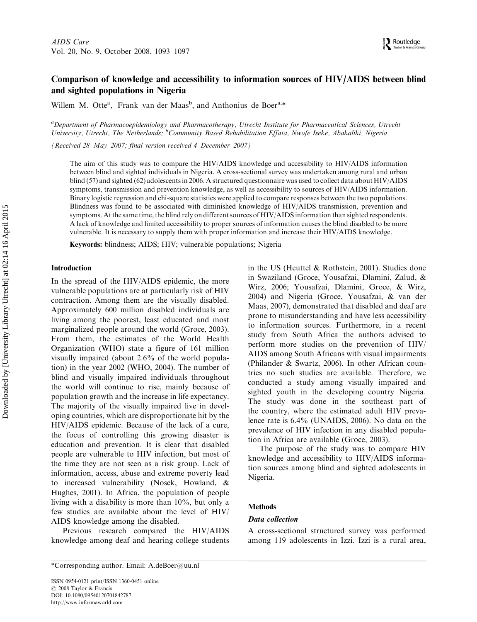# Comparison of knowledge and accessibility to information sources of HIV/AIDS between blind and sighted populations in Nigeria

Willem M. Otte<sup>a</sup>, Frank van der Maas<sup>b</sup>, and Anthonius de Boer<sup>a,\*</sup>

a<br>Department of Pharmacoepidemiology and Pharmacotherapy, Utrecht Institute for Pharmaceutical Sciences, Utrecht University, Utrecht, The Netherlands; <sup>b</sup>Community Based Rehabilitation Effata, Nwofe Iseke, Abakaliki, Nigeria

(Received 28 May 2007; final version received 4 December 2007)

The aim of this study was to compare the HIV/AIDS knowledge and accessibility to HIV/AIDS information between blind and sighted individuals in Nigeria. A cross-sectional survey was undertaken among rural and urban blind (57) and sighted (62) adolescents in 2006. A structured questionnaire was used to collect data about HIV/AIDS symptoms, transmission and prevention knowledge, as well as accessibility to sources of HIV/AIDS information. Binary logistic regression and chi-square statistics were applied to compare responses between the two populations. Blindness was found to be associated with diminished knowledge of HIV/AIDS transmission, prevention and symptoms. At the same time, the blind rely on different sources of HIV/AIDS information than sighted respondents. A lack of knowledge and limited accessibility to proper sources of information causes the blind disabled to be more vulnerable. It is necessary to supply them with proper information and increase their HIV/AIDS knowledge.

Keywords: blindness; AIDS; HIV; vulnerable populations; Nigeria

### Introduction

In the spread of the HIV/AIDS epidemic, the more vulnerable populations are at particularly risk of HIV contraction. Among them are the visually disabled. Approximately 600 million disabled individuals are living among the poorest, least educated and most marginalized people around the world (Groce, 2003). From them, the estimates of the World Health Organization (WHO) state a figure of 161 million visually impaired (about 2.6% of the world population) in the year 2002 (WHO, 2004). The number of blind and visually impaired individuals throughout the world will continue to rise, mainly because of population growth and the increase in life expectancy. The majority of the visually impaired live in developing countries, which are disproportionate hit by the HIV/AIDS epidemic. Because of the lack of a cure, the focus of controlling this growing disaster is education and prevention. It is clear that disabled people are vulnerable to HIV infection, but most of the time they are not seen as a risk group. Lack of information, access, abuse and extreme poverty lead to increased vulnerability (Nosek, Howland, & Hughes, 2001). In Africa, the population of people living with a disability is more than 10%, but only a few studies are available about the level of HIV/ AIDS knowledge among the disabled.

Previous research compared the HIV/AIDS knowledge among deaf and hearing college students in the US (Heuttel & Rothstein, 2001). Studies done in Swaziland (Groce, Yousafzai, Dlamini, Zalud, & Wirz, 2006; Yousafzai, Dlamini, Groce, & Wirz, 2004) and Nigeria (Groce, Yousafzai, & van der Maas, 2007), demonstrated that disabled and deaf are prone to misunderstanding and have less accessibility to information sources. Furthermore, in a recent study from South Africa the authors advised to perform more studies on the prevention of HIV/ AIDS among South Africans with visual impairments (Philander & Swartz, 2006). In other African countries no such studies are available. Therefore, we conducted a study among visually impaired and sighted youth in the developing country Nigeria. The study was done in the southeast part of the country, where the estimated adult HIV prevalence rate is 6.4% (UNAIDS, 2006). No data on the prevalence of HIV infection in any disabled population in Africa are available (Groce, 2003).

The purpose of the study was to compare HIV knowledge and accessibility to HIV/AIDS information sources among blind and sighted adolescents in Nigeria.

## Methods

## Data collection

A cross-sectional structured survey was performed among 119 adolescents in Izzi. Izzi is a rural area,

<sup>\*</sup>Corresponding author. Email: A.deBoer@uu.nl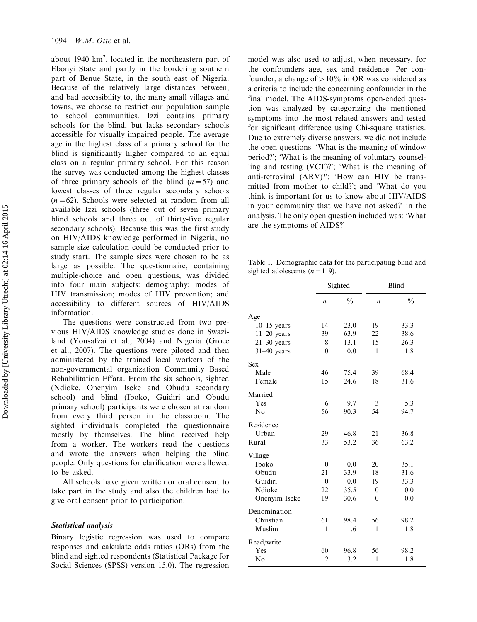about 1940  $km^2$ , located in the northeastern part of Ebonyi State and partly in the bordering southern part of Benue State, in the south east of Nigeria. Because of the relatively large distances between, and bad accessibility to, the many small villages and towns, we choose to restrict our population sample to school communities. Izzi contains primary schools for the blind, but lacks secondary schools accessible for visually impaired people. The average age in the highest class of a primary school for the blind is significantly higher compared to an equal class on a regular primary school. For this reason the survey was conducted among the highest classes of three primary schools of the blind  $(n=57)$  and lowest classes of three regular secondary schools  $(n=62)$ . Schools were selected at random from all available Izzi schools (three out of seven primary blind schools and three out of thirty-five regular secondary schools). Because this was the first study on HIV/AIDS knowledge performed in Nigeria, no sample size calculation could be conducted prior to study start. The sample sizes were chosen to be as large as possible. The questionnaire, containing multiple-choice and open questions, was divided into four main subjects: demography; modes of HIV transmission; modes of HIV prevention; and accessibility to different sources of HIV/AIDS information.

The questions were constructed from two previous HIV/AIDS knowledge studies done in Swaziland (Yousafzai et al., 2004) and Nigeria (Groce et al., 2007). The questions were piloted and then administered by the trained local workers of the non-governmental organization Community Based Rehabilitation Effata. From the six schools, sighted (Ndioke, Onenyim Iseke and Obudu secondary school) and blind (Iboko, Guidiri and Obudu primary school) participants were chosen at random from every third person in the classroom. The sighted individuals completed the questionnaire mostly by themselves. The blind received help from a worker. The workers read the questions and wrote the answers when helping the blind people. Only questions for clarification were allowed to be asked.

All schools have given written or oral consent to take part in the study and also the children had to give oral consent prior to participation.

#### Statistical analysis

Binary logistic regression was used to compare responses and calculate odds ratios (ORs) from the blind and sighted respondents (Statistical Package for Social Sciences (SPSS) version 15.0). The regression

model was also used to adjust, when necessary, for the confounders age, sex and residence. Per confounder, a change of  $>10\%$  in OR was considered as a criteria to include the concerning confounder in the final model. The AIDS-symptoms open-ended question was analyzed by categorizing the mentioned symptoms into the most related answers and tested for significant difference using Chi-square statistics. Due to extremely diverse answers, we did not include the open questions: 'What is the meaning of window period?'; 'What is the meaning of voluntary counselling and testing (VCT)?'; 'What is the meaning of anti-retroviral (ARV)?'; 'How can HIV be transmitted from mother to child?'; and 'What do you think is important for us to know about HIV/AIDS in your community that we have not asked?' in the analysis. The only open question included was: 'What are the symptoms of AIDS?'

Table 1. Demographic data for the participating blind and sighted adolescents  $(n=119)$ .

|               | Sighted          |               | Blind            |               |
|---------------|------------------|---------------|------------------|---------------|
|               | $\boldsymbol{n}$ | $\frac{0}{0}$ | $\boldsymbol{n}$ | $\frac{0}{0}$ |
| Age           |                  |               |                  |               |
| $10-15$ years | 14               | 23.0          | 19               | 33.3          |
| $11-20$ years | 39               | 63.9          | 22               | 38.6          |
| $21-30$ years | 8                | 13.1          | 15               | 26.3          |
| $31-40$ years | $\theta$         | 0.0           | 1                | 1.8           |
| Sex           |                  |               |                  |               |
| Male          | 46               | 75.4          | 39               | 68.4          |
| Female        | 15               | 24.6          | 18               | 31.6          |
| Married       |                  |               |                  |               |
| Yes           | 6                | 9.7           | 3                | 5.3           |
| No            | 56               | 90.3          | 54               | 94.7          |
| Residence     |                  |               |                  |               |
| Urban         | 29               | 46.8          | 21               | 36.8          |
| Rural         | 33               | 53.2          | 36               | 63.2          |
| Village       |                  |               |                  |               |
| Iboko         | $\mathbf{0}$     | 0.0           | 20               | 35.1          |
| Obudu         | 21               | 33.9          | 18               | 31.6          |
| Guidiri       | $\theta$         | 0.0           | 19               | 33.3          |
| Ndioke        | 22               | 35.5          | $\theta$         | 0.0           |
| Onenyim Iseke | 19               | 30.6          | $\theta$         | 0.0           |
| Denomination  |                  |               |                  |               |
| Christian     | 61               | 98.4          | 56               | 98.2          |
| Muslim        | 1                | 1.6           | 1                | 1.8           |
| Read/write    |                  |               |                  |               |
| Yes           | 60               | 96.8          | 56               | 98.2          |
| No            | $\overline{2}$   | 3.2           | 1                | 1.8           |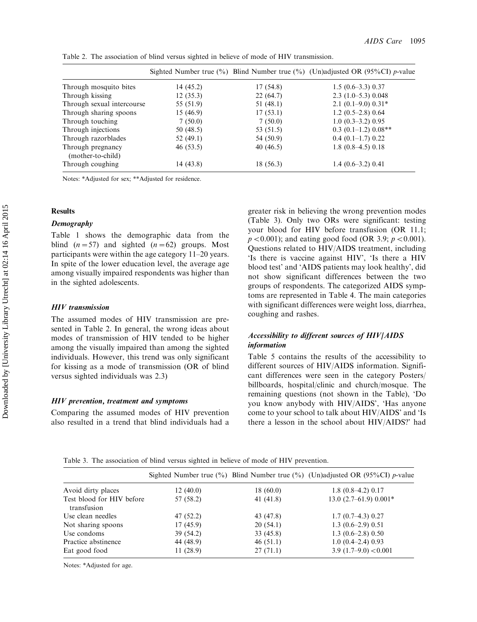|                                        |             |             | Sighted Number true $(\%)$ Blind Number true $(\%)$ (Un)adjusted OR $(95\% \text{CI})$ p-value |
|----------------------------------------|-------------|-------------|------------------------------------------------------------------------------------------------|
| Through mosquito bites                 | 14(45.2)    | 17 (54.8)   | $1.5(0.6-3.3)0.37$                                                                             |
| Through kissing                        | 12(35.3)    | 22(64.7)    | $2.3(1.0-5.3)0.048$                                                                            |
| Through sexual intercourse             | 55 (51.9)   | 51 (48.1)   | $2.1(0.1-9.0)0.31*$                                                                            |
| Through sharing spoons                 | 15(46.9)    | 17(53.1)    | $1.2$ (0.5–2.8) 0.64                                                                           |
| Through touching                       | 7(50.0)     | 7(50.0)     | $1.0$ $(0.3-3.2)$ $0.95$                                                                       |
| Through injections                     | 50(48.5)    | 53 (51.5)   | $0.3$ (0.1–1.2) $0.08**$                                                                       |
| Through razorblades                    | 52 $(49.1)$ | 54 (50.9)   | $0.4$ (0.1–1.7) 0.22                                                                           |
| Through pregnancy<br>(mother-to-child) | 46(53.5)    | 40 $(46.5)$ | $1.8(0.8-4.5)0.18$                                                                             |
| Through coughing                       | 14 (43.8)   | 18 (56.3)   | $1.4(0.6-3.2)0.41$                                                                             |

Table 2. The association of blind versus sighted in believe of mode of HIV transmission.

Notes: \*Adjusted for sex; \*\*Adjusted for residence.

#### Results

## Demography

Table 1 shows the demographic data from the blind  $(n=57)$  and sighted  $(n=62)$  groups. Most participants were within the age category  $11-20$  years. In spite of the lower education level, the average age among visually impaired respondents was higher than in the sighted adolescents.

## HIV transmission

The assumed modes of HIV transmission are presented in Table 2. In general, the wrong ideas about modes of transmission of HIV tended to be higher among the visually impaired than among the sighted individuals. However, this trend was only significant for kissing as a mode of transmission (OR of blind versus sighted individuals was 2.3)

#### HIV prevention, treatment and symptoms

Comparing the assumed modes of HIV prevention also resulted in a trend that blind individuals had a

greater risk in believing the wrong prevention modes (Table 3). Only two ORs were significant: testing your blood for HIV before transfusion (OR 11.1;  $p < 0.001$ ); and eating good food (OR 3.9;  $p < 0.001$ ). Questions related to HIV/AIDS treatment, including 'Is there is vaccine against HIV', 'Is there a HIV blood test' and 'AIDS patients may look healthy', did not show significant differences between the two groups of respondents. The categorized AIDS symptoms are represented in Table 4. The main categories with significant differences were weight loss, diarrhea, coughing and rashes.

## Accessibility to different sources of HIV/AIDS information

Table 5 contains the results of the accessibility to different sources of HIV/AIDS information. Significant differences were seen in the category Posters/ billboards, hospital/clinic and church/mosque. The remaining questions (not shown in the Table), 'Do you know anybody with HIV/AIDS', 'Has anyone come to your school to talk about HIV/AIDS' and 'Is there a lesson in the school about HIV/AIDS?' had

Table 3. The association of blind versus sighted in believe of mode of HIV prevention.

|                                          |           |             | Sighted Number true $\frac{(*)}{0}$ Blind Number true $\frac{(*)}{0}$ (Un)adjusted OR $\frac{95\%CI}{p}$ p-value |
|------------------------------------------|-----------|-------------|------------------------------------------------------------------------------------------------------------------|
| Avoid dirty places                       | 12(40.0)  | 18(60.0)    | $1.8$ $(0.8-4.2)$ $0.17$                                                                                         |
| Test blood for HIV before<br>transfusion | 57 (58.2) | 41 $(41.8)$ | $13.0$ (2.7–61.9) $0.001*$                                                                                       |
| Use clean needles                        | 47 (52.2) | 43 (47.8)   | $1.7(0.7-4.3)0.27$                                                                                               |
| Not sharing spoons                       | 17(45.9)  | 20(54.1)    | $1.3(0.6-2.9)0.51$                                                                                               |
| Use condoms                              | 39(54.2)  | 33(45.8)    | $1.3(0.6-2.8)0.50$                                                                                               |
| Practice abstinence                      | 44 (48.9) | 46(51.1)    | 1.0(0.4–2.4)0.93                                                                                                 |
| Eat good food                            | 11(28.9)  | 27(71.1)    | $3.9(1.7-9.0) < 0.001$                                                                                           |

Notes: \*Adjusted for age.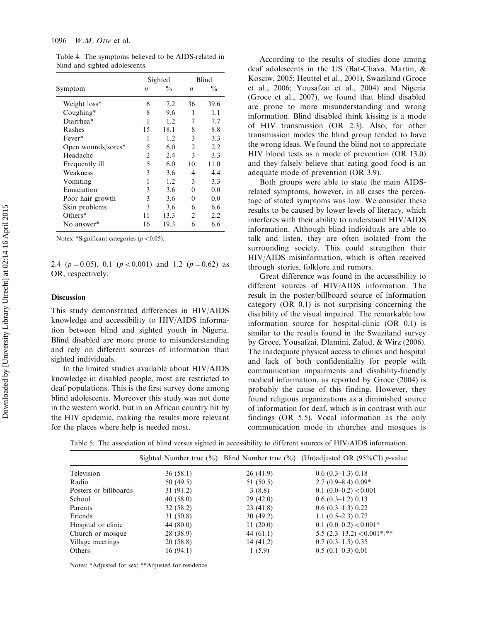|                    | Sighted          |               | Blind            |               |
|--------------------|------------------|---------------|------------------|---------------|
| Symptom            | $\boldsymbol{n}$ | $\frac{0}{0}$ | $\boldsymbol{n}$ | $\frac{0}{0}$ |
| Weight loss*       | 6                | 7.2           | 36               | 39.6          |
| Coughing*          | 8                | 9.6           | 1                | 1.1           |
| Diarrhea*          | 1                | 1.2.          | 7                | 7.7           |
| Rashes             | 15               | 18.1          | 8                | 8.8           |
| Fever*             | 1                | 1.2.          | 3                | 3.3           |
| Open wounds/sores* | 5                | 6.0           | $\overline{c}$   | 2.2           |
| Headache           | 2                | 2.4           | 3                | 3.3           |
| Frequently ill     | 5                | 6.0           | 10               | 11.0          |
| Weakness           | 3                | 3.6           | 4                | 4.4           |
| Vomiting           | 1                | 1.2           | 3                | 3.3           |
| Emaciation         | 3                | 3.6           | 0                | 0.0           |
| Poor hair growth   | 3                | 3.6           | 0                | 0.0           |
| Skin problems      | 3                | 3.6           | 6                | 6.6           |
| $Others*$          | 11               | 13.3          | $\mathfrak{D}$   | 2.2           |
| No answer*         | 16               | 19.3          | 6                | 6.6           |

Table 4. The symptoms believed to be AIDS-related in blind and sighted adolescents.

Notes: \*Significant categories ( $p < 0.05$ ).

2.4 ( $p = 0.05$ ), 0.1 ( $p < 0.001$ ) and 1.2 ( $p = 0.62$ ) as OR, respectively.

#### **Discussion**

This study demonstrated differences in HIV/AIDS knowledge and accessibility to HIV/AIDS information between blind and sighted youth in Nigeria. Blind disabled are more prone to misunderstanding and rely on different sources of information than sighted individuals.

In the limited studies available about HIV/AIDS knowledge in disabled people, most are restricted to deaf populations. This is the first survey done among blind adolescents. Moreover this study was not done in the western world, but in an African country hit by the HIV epidemic, making the results more relevant for the places where help is needed most.

According to the results of studies done among deaf adolescents in the US (Bat-Chava, Martin, & Kosciw, 2005; Heuttel et al., 2001), Swaziland (Groce et al., 2006; Yousafzai et al., 2004) and Nigeria (Groce et al., 2007), we found that blind disabled are prone to more misunderstanding and wrong information. Blind disabled think kissing is a mode of HIV transmission (OR 2.3). Also, for other transmission modes the blind group tended to have the wrong ideas. We found the blind not to appreciate HIV blood tests as a mode of prevention (OR 13.0) and they falsely believe that eating good food is an adequate mode of prevention (OR 3.9).

Both groups were able to state the main AIDSrelated symptoms, however, in all cases the percentage of stated symptoms was low. We consider these results to be caused by lower levels of literacy, which interferes with their ability to understand HIV/AIDS information. Although blind individuals are able to talk and listen, they are often isolated from the surrounding society. This could strengthen their HIV/AIDS misinformation, which is often received through stories, folklore and rumors.

Great difference was found in the accessibility to different sources of HIV/AIDS information. The result in the poster/billboard source of information category (OR 0.1) is not surprising concerning the disability of the visual impaired. The remarkable low information source for hospital-clinic (OR 0.1) is similar to the results found in the Swaziland survey by Groce, Yousafzai, Dlamini, Zalud, & Wirz (2006). The inadequate physical access to clinics and hospital and lack of both confidentiality for people with communication impairments and disability-friendly medical information, as reported by Groce (2004) is probably the cause of this finding. However, they found religious organizations as a diminished source of information for deaf, which is in contrast with our findings (OR 5.5). Vocal information as the only communication mode in churches and mosques is

Table 5. The association of blind versus sighted in accessibility to different sources of HIV/AIDS information.

|                       |           |             | Sighted Number true $\frac{(*)}{0}$ Blind Number true $\frac{(*)}{0}$ (Un)adjusted OR (95%CI) <i>p</i> -value |
|-----------------------|-----------|-------------|---------------------------------------------------------------------------------------------------------------|
| Television            | 36(58.1)  | 26(41.9)    | $0.6(0.3-1.3)0.18$                                                                                            |
| Radio                 | 50(49.5)  | 51 (50.5)   | $2.7(0.9 - 8.4)0.09*$                                                                                         |
| Posters or billboards | 31 (91.2) | 3(8.8)      | $0.1 (0.0 - 0.2) < 0.001$                                                                                     |
| School                | 40(58.0)  | 29(42.0)    | $0.6(0.3-1.2)0.13$                                                                                            |
| Parents               | 32(58.2)  | 23(41.8)    | $0.6(0.3-1.3)0.22$                                                                                            |
| Friends               | 31(50.8)  | 30(49.2)    | $1.1(0.5-2.3)0.77$                                                                                            |
| Hospital or clinic    | 44 (80.0) | 11(20.0)    | $0.1 (0.0 - 0.2) < 0.001*$                                                                                    |
| Church or mosque      | 28 (38.9) | 44 $(61.1)$ | 5.5 $(2.3-13.2) < 0.001$ */**                                                                                 |
| Village meetings      | 20(58.8)  | 14(41.2)    | $0.7(0.3-1.5)0.35$                                                                                            |
| Others                | 16(94.1)  | 1(5.9)      | $0.5(0.1-0.3)0.01$                                                                                            |

Notes: \*Adjusted for sex; \*\*Adjusted for residence.